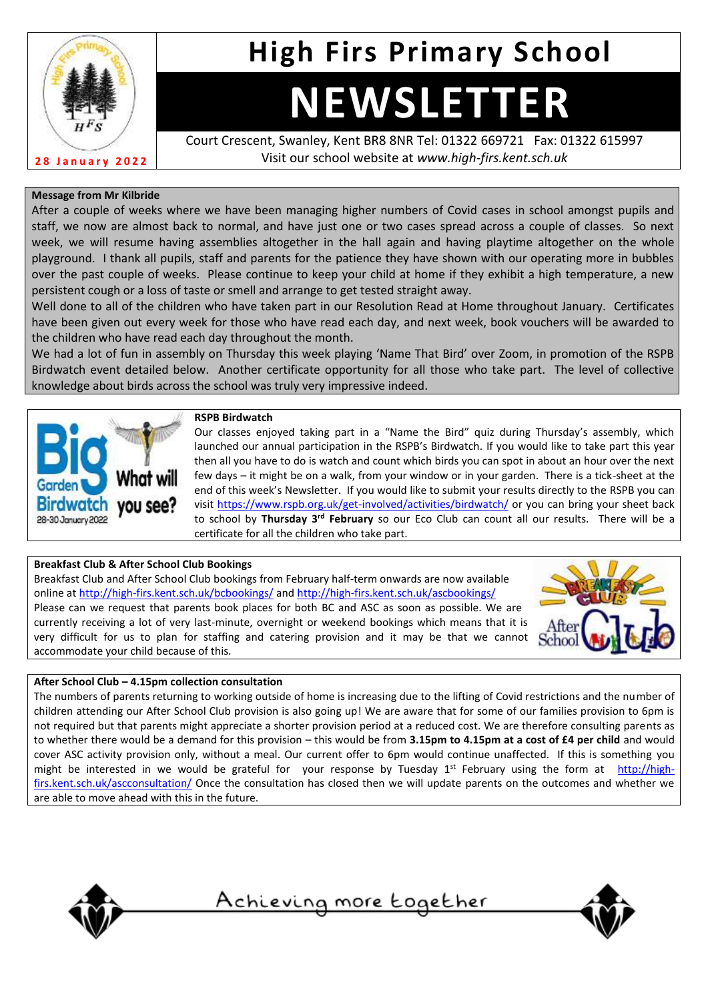

# **High Firs Primary School**

# **NEWSLETTER**

Court Crescent, Swanley, Kent BR8 8NR Tel: 01322 669721 Fax: 01322 615997 Visit our school website at *www.high-firs.kent.sch.uk*

## **Message from Mr Kilbride**

After a couple of weeks where we have been managing higher numbers of Covid cases in school amongst pupils and staff, we now are almost back to normal, and have just one or two cases spread across a couple of classes. So next week, we will resume having assemblies altogether in the hall again and having playtime altogether on the whole playground. I thank all pupils, staff and parents for the patience they have shown with our operating more in bubbles over the past couple of weeks. Please continue to keep your child at home if they exhibit a high temperature, a new persistent cough or a loss of taste or smell and arrange to get tested straight away.

Well done to all of the children who have taken part in our Resolution Read at Home throughout January. Certificates have been given out every week for those who have read each day, and next week, book vouchers will be awarded to the children who have read each day throughout the month.

We had a lot of fun in assembly on Thursday this week playing 'Name That Bird' over Zoom, in promotion of the RSPB Birdwatch event detailed below. Another certificate opportunity for all those who take part. The level of collective knowledge about birds across the school was truly very impressive indeed.



#### **RSPB Birdwatch**

Our classes enjoyed taking part in a "Name the Bird" quiz during Thursday's assembly, which launched our annual participation in the RSPB's Birdwatch. If you would like to take part this year then all you have to do is watch and count which birds you can spot in about an hour over the next few days – it might be on a walk, from your window or in your garden. There is a tick-sheet at the end of this week's Newsletter. If you would like to submit your results directly to the RSPB you can visit<https://www.rspb.org.uk/get-involved/activities/birdwatch/> or you can bring your sheet back to school by **Thursday 3rd February** so our Eco Club can count all our results. There will be a certificate for all the children who take part.

# **Breakfast Club & After School Club Bookings**

Breakfast Club and After School Club bookings from February half-term onwards are now available online a[t http://high-firs.kent.sch.uk/bcbookings/](http://high-firs.kent.sch.uk/bcbookings/) and<http://high-firs.kent.sch.uk/ascbookings/> Please can we request that parents book places for both BC and ASC as soon as possible. We are currently receiving a lot of very last-minute, overnight or weekend bookings which means that it is very difficult for us to plan for staffing and catering provision and it may be that we cannot accommodate your child because of this.



### **After School Club – 4.15pm collection consultation**

The numbers of parents returning to working outside of home is increasing due to the lifting of Covid restrictions and the number of children attending our After School Club provision is also going up! We are aware that for some of our families provision to 6pm is not required but that parents might appreciate a shorter provision period at a reduced cost. We are therefore consulting parents as to whether there would be a demand for this provision – this would be from **3.15pm to 4.15pm at a cost of £4 per child** and would cover ASC activity provision only, without a meal. Our current offer to 6pm would continue unaffected. If this is something you might be interested in we would be grateful for your response by Tuesday  $1^{st}$  February using the form at [http://high](http://high-firs.kent.sch.uk/ascconsultation/)[firs.kent.sch.uk/ascconsultation/](http://high-firs.kent.sch.uk/ascconsultation/) Once the consultation has closed then we will update parents on the outcomes and whether we are able to move ahead with this in the future.



Achieving more together

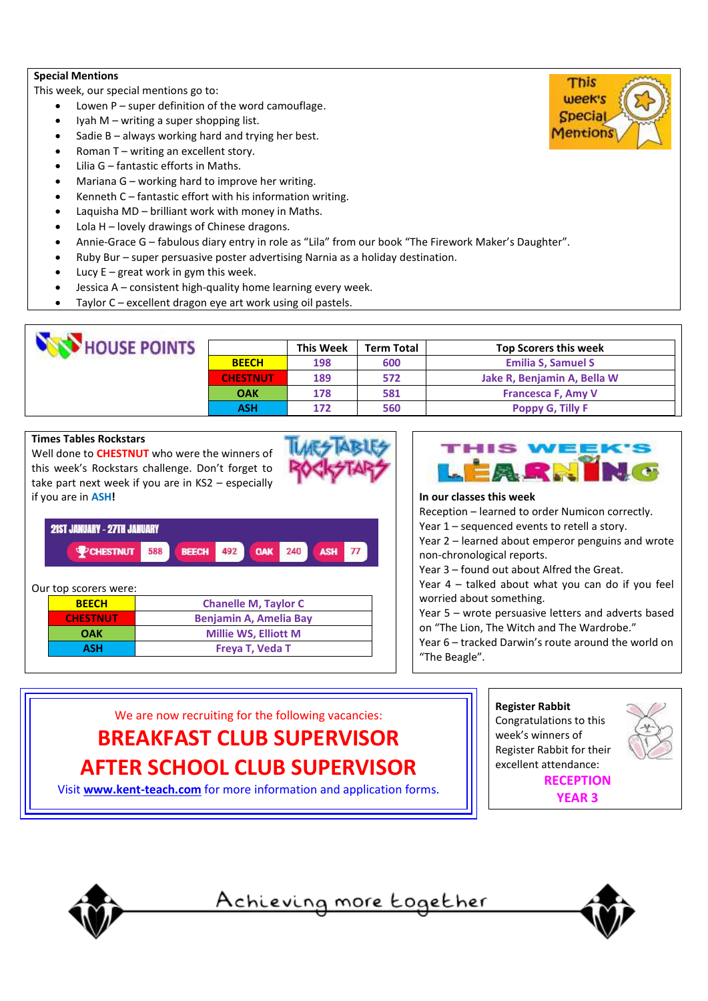#### **Special Mentions**

This week, our special mentions go to:

- Lowen  $P$  super definition of the word camouflage.
- Iyah M writing a super shopping list.
- Sadie  $B -$  always working hard and trying her best.
- Roman T writing an excellent story.
- Lilia G fantastic efforts in Maths.
- Mariana G working hard to improve her writing.
- Kenneth  $C$  fantastic effort with his information writing.
- Laquisha MD brilliant work with money in Maths.
- Lola H lovely drawings of Chinese dragons.
- Annie-Grace G fabulous diary entry in role as "Lila" from our book "The Firework Maker's Daughter".
- Ruby Bur super persuasive poster advertising Narnia as a holiday destination.
- Lucy  $E -$  great work in gym this week.
- Jessica A consistent high-quality home learning every week.
- Taylor C excellent dragon eye art work using oil pastels.

| <b>HOUSE POINTS</b> |                 | <b>This Week</b> | <b>Term Total</b> | <b>Top Scorers this week</b> |
|---------------------|-----------------|------------------|-------------------|------------------------------|
|                     | <b>BEECH</b>    | 198              | 600               | <b>Emilia S, Samuel S</b>    |
|                     | <b>CHESTNUT</b> | 189              | 572               | Jake R, Benjamin A, Bella W  |
|                     | <b>OAK</b>      | 178              | 581               | <b>Francesca F, Amy V</b>    |
|                     | <b>ASH</b>      | 172              | 560               | <b>Poppy G, Tilly F</b>      |

# **Times Tables Rockstars**

Well done to **CHESTNUT** who were the winners of this week's Rockstars challenge. Don't forget to take part next week if you are in KS2 – especially if you are in **ASH!**





#### Our top scorers were:

| <b>BEECH</b>    | <b>Chanelle M, Taylor C</b>   |  |
|-----------------|-------------------------------|--|
| <b>CHESTNUT</b> | <b>Benjamin A, Amelia Bay</b> |  |
| <b>OAK</b>      | <b>Millie WS, Elliott M</b>   |  |
| <b>ASH</b>      | Freya T, Veda T               |  |



#### **In our classes this week**

Reception – learned to order Numicon correctly.

- Year 1 sequenced events to retell a story.
- Year 2 learned about emperor penguins and wrote non-chronological reports.
- Year 3 found out about Alfred the Great.

Year 4 – talked about what you can do if you feel worried about something.

Year 5 – wrote persuasive letters and adverts based on "The Lion, The Witch and The Wardrobe."

Year 6 – tracked Darwin's route around the world on "The Beagle".



Visit **[www.kent-teach.com](http://www.kent-teach.com/)** for more information and application forms.





<u>Achieving more together</u>



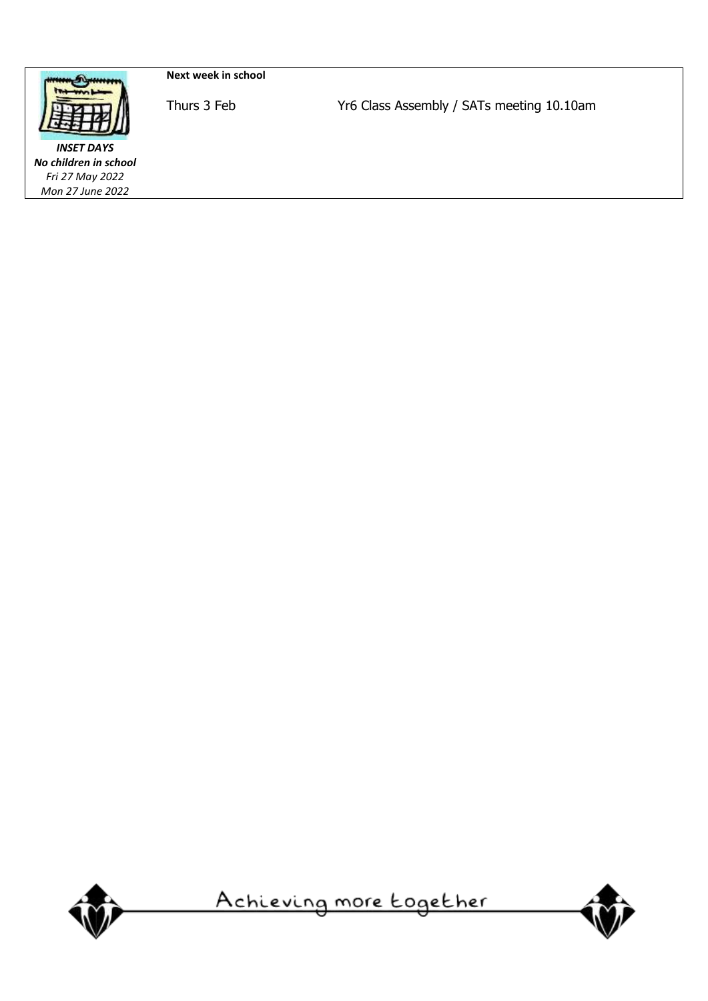

**Next week in school**

*INSET DAYS No children in school Fri 27 May 2022 Mon 27 June 2022*

Thurs 3 Feb Yr6 Class Assembly / SATs meeting 10.10am